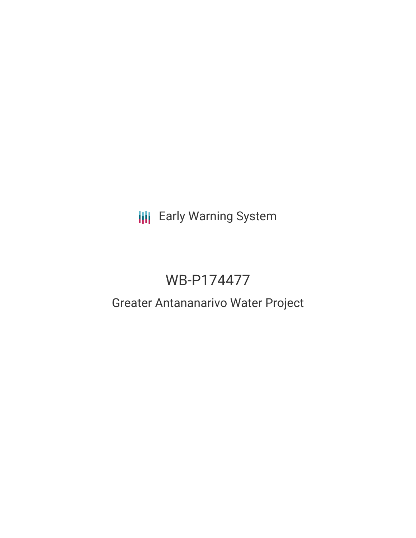**III** Early Warning System

# WB-P174477

## Greater Antananarivo Water Project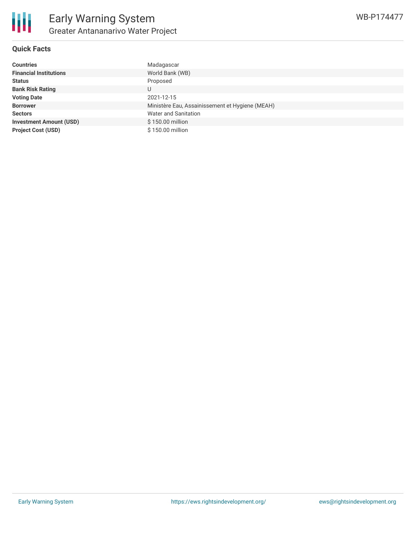

### **Quick Facts**

| <b>Countries</b>               | Madagascar                                      |
|--------------------------------|-------------------------------------------------|
| <b>Financial Institutions</b>  | World Bank (WB)                                 |
| <b>Status</b>                  | Proposed                                        |
| <b>Bank Risk Rating</b>        | U                                               |
| <b>Voting Date</b>             | 2021-12-15                                      |
| <b>Borrower</b>                | Ministère Eau, Assainissement et Hygiene (MEAH) |
| <b>Sectors</b>                 | <b>Water and Sanitation</b>                     |
| <b>Investment Amount (USD)</b> | \$150.00 million                                |
| <b>Project Cost (USD)</b>      | \$150,00 million                                |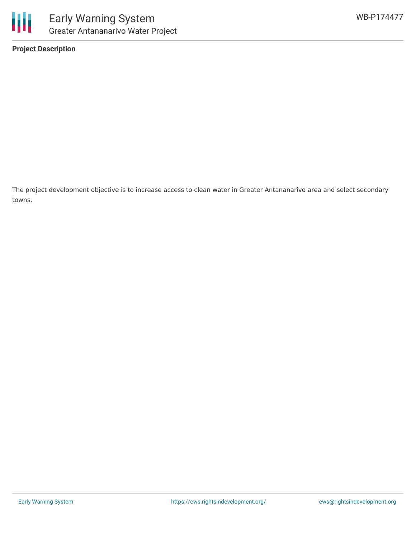

towns.

**Project Description**

The project development objective is to increase access to clean water in Greater Antananarivo area and select secondary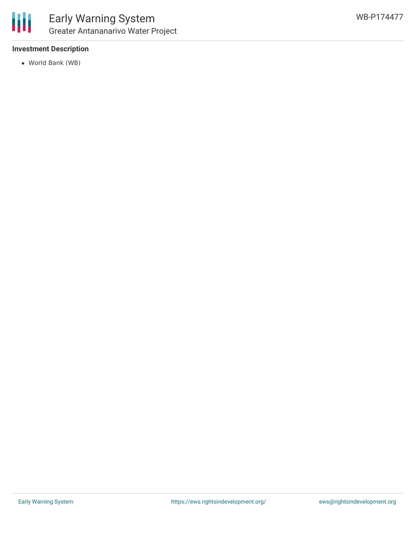

### **Investment Description**

World Bank (WB)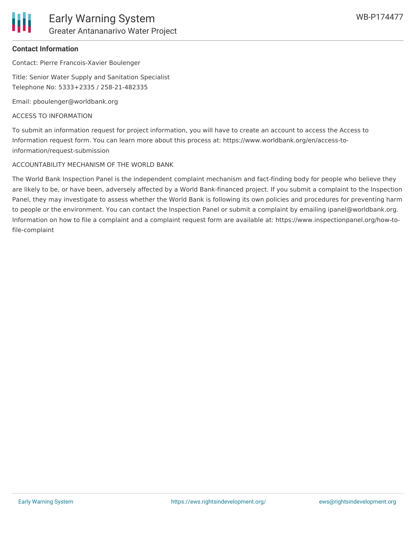

## **Contact Information**

Contact: Pierre Francois-Xavier Boulenger

Title: Senior Water Supply and Sanitation Specialist Telephone No: 5333+2335 / 258-21-482335

Email: pboulenger@worldbank.org

## ACCESS TO INFORMATION

To submit an information request for project information, you will have to create an account to access the Access to Information request form. You can learn more about this process at: https://www.worldbank.org/en/access-toinformation/request-submission

## ACCOUNTABILITY MECHANISM OF THE WORLD BANK

The World Bank Inspection Panel is the independent complaint mechanism and fact-finding body for people who believe they are likely to be, or have been, adversely affected by a World Bank-financed project. If you submit a complaint to the Inspection Panel, they may investigate to assess whether the World Bank is following its own policies and procedures for preventing harm to people or the environment. You can contact the Inspection Panel or submit a complaint by emailing ipanel@worldbank.org. Information on how to file a complaint and a complaint request form are available at: https://www.inspectionpanel.org/how-tofile-complaint